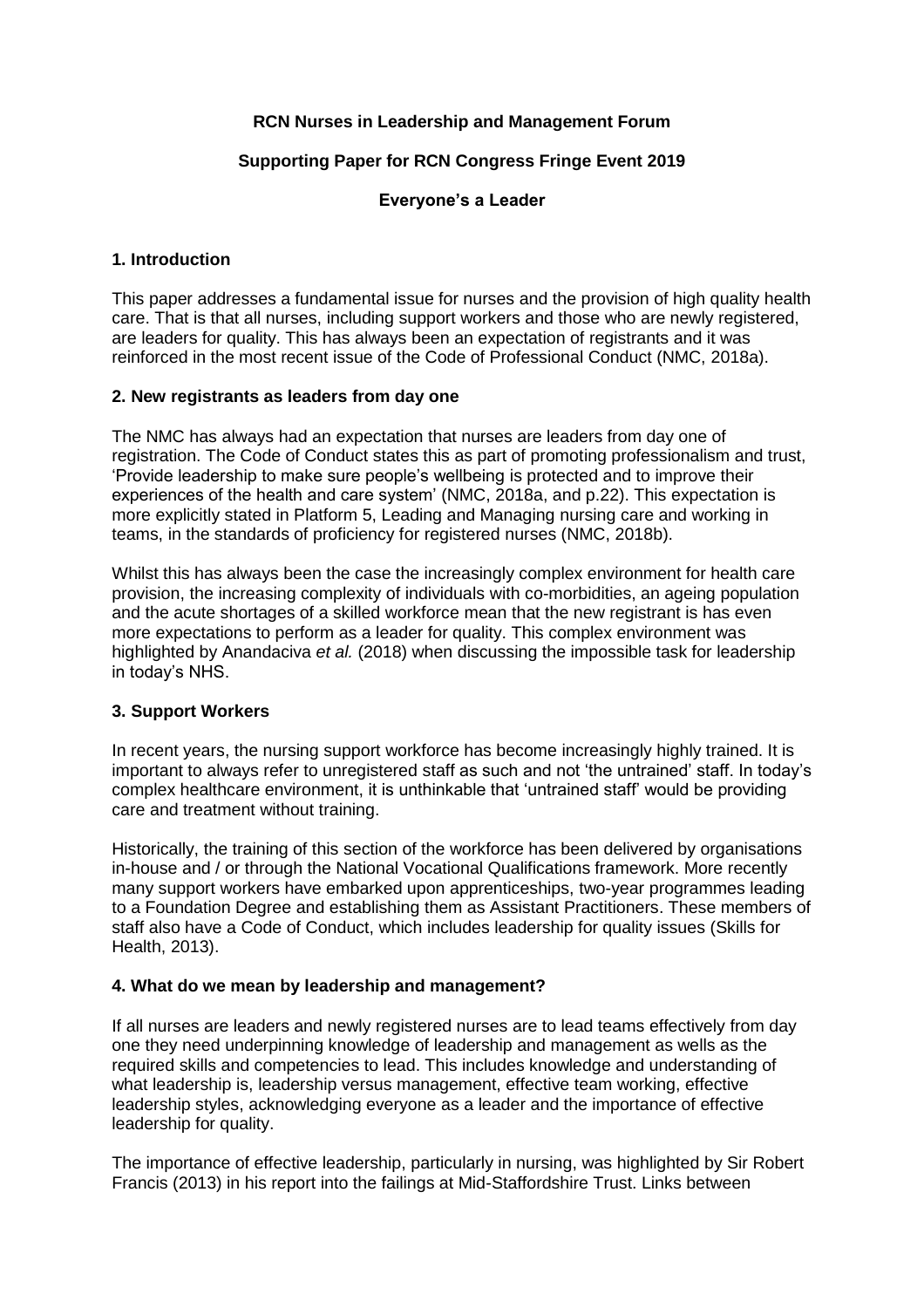## **RCN Nurses in Leadership and Management Forum**

# **Supporting Paper for RCN Congress Fringe Event 2019**

### **Everyone's a Leader**

## **1. Introduction**

This paper addresses a fundamental issue for nurses and the provision of high quality health care. That is that all nurses, including support workers and those who are newly registered, are leaders for quality. This has always been an expectation of registrants and it was reinforced in the most recent issue of the Code of Professional Conduct (NMC, 2018a).

### **2. New registrants as leaders from day one**

The NMC has always had an expectation that nurses are leaders from day one of registration. The Code of Conduct states this as part of promoting professionalism and trust, 'Provide leadership to make sure people's wellbeing is protected and to improve their experiences of the health and care system' (NMC, 2018a, and p.22). This expectation is more explicitly stated in Platform 5, Leading and Managing nursing care and working in teams, in the standards of proficiency for registered nurses (NMC, 2018b).

Whilst this has always been the case the increasingly complex environment for health care provision, the increasing complexity of individuals with co-morbidities, an ageing population and the acute shortages of a skilled workforce mean that the new registrant is has even more expectations to perform as a leader for quality. This complex environment was highlighted by Anandaciva *et al.* (2018) when discussing the impossible task for leadership in today's NHS.

### **3. Support Workers**

In recent years, the nursing support workforce has become increasingly highly trained. It is important to always refer to unregistered staff as such and not 'the untrained' staff. In today's complex healthcare environment, it is unthinkable that 'untrained staff' would be providing care and treatment without training.

Historically, the training of this section of the workforce has been delivered by organisations in-house and / or through the National Vocational Qualifications framework. More recently many support workers have embarked upon apprenticeships, two-year programmes leading to a Foundation Degree and establishing them as Assistant Practitioners. These members of staff also have a Code of Conduct, which includes leadership for quality issues (Skills for Health, 2013).

### **4. What do we mean by leadership and management?**

If all nurses are leaders and newly registered nurses are to lead teams effectively from day one they need underpinning knowledge of leadership and management as wells as the required skills and competencies to lead. This includes knowledge and understanding of what leadership is, leadership versus management, effective team working, effective leadership styles, acknowledging everyone as a leader and the importance of effective leadership for quality.

The importance of effective leadership, particularly in nursing, was highlighted by Sir Robert Francis (2013) in his report into the failings at Mid-Staffordshire Trust. Links between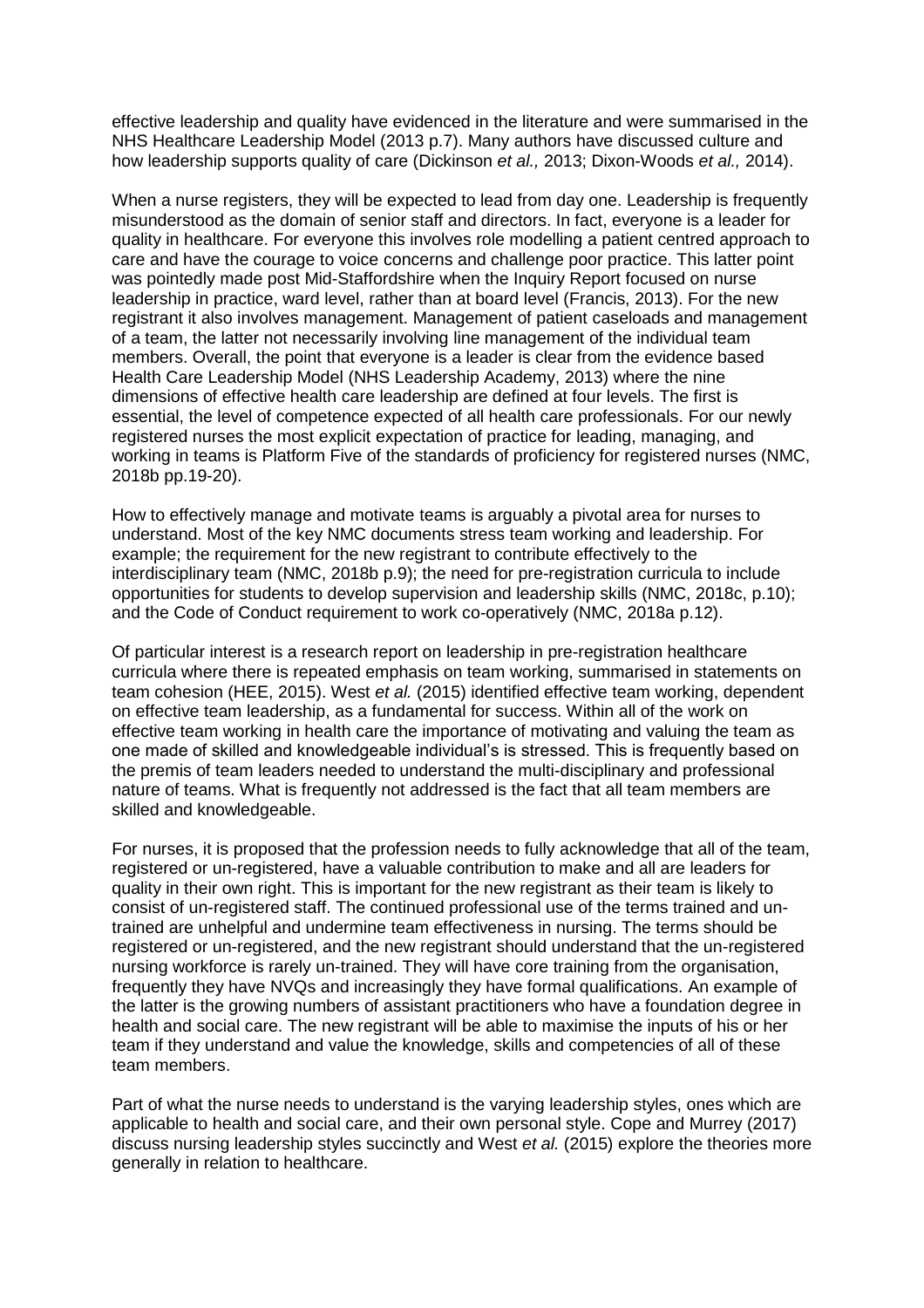effective leadership and quality have evidenced in the literature and were summarised in the NHS Healthcare Leadership Model (2013 p.7). Many authors have discussed culture and how leadership supports quality of care (Dickinson *et al.,* 2013; Dixon-Woods *et al.,* 2014).

When a nurse registers, they will be expected to lead from day one. Leadership is frequently misunderstood as the domain of senior staff and directors. In fact, everyone is a leader for quality in healthcare. For everyone this involves role modelling a patient centred approach to care and have the courage to voice concerns and challenge poor practice. This latter point was pointedly made post Mid-Staffordshire when the Inquiry Report focused on nurse leadership in practice, ward level, rather than at board level (Francis, 2013). For the new registrant it also involves management. Management of patient caseloads and management of a team, the latter not necessarily involving line management of the individual team members. Overall, the point that everyone is a leader is clear from the evidence based Health Care Leadership Model (NHS Leadership Academy, 2013) where the nine dimensions of effective health care leadership are defined at four levels. The first is essential, the level of competence expected of all health care professionals. For our newly registered nurses the most explicit expectation of practice for leading, managing, and working in teams is Platform Five of the standards of proficiency for registered nurses (NMC, 2018b pp.19-20).

How to effectively manage and motivate teams is arguably a pivotal area for nurses to understand. Most of the key NMC documents stress team working and leadership. For example; the requirement for the new registrant to contribute effectively to the interdisciplinary team (NMC, 2018b p.9); the need for pre-registration curricula to include opportunities for students to develop supervision and leadership skills (NMC, 2018c, p.10); and the Code of Conduct requirement to work co-operatively (NMC, 2018a p.12).

Of particular interest is a research report on leadership in pre-registration healthcare curricula where there is repeated emphasis on team working, summarised in statements on team cohesion (HEE, 2015). West *et al.* (2015) identified effective team working, dependent on effective team leadership, as a fundamental for success. Within all of the work on effective team working in health care the importance of motivating and valuing the team as one made of skilled and knowledgeable individual's is stressed. This is frequently based on the premis of team leaders needed to understand the multi-disciplinary and professional nature of teams. What is frequently not addressed is the fact that all team members are skilled and knowledgeable.

For nurses, it is proposed that the profession needs to fully acknowledge that all of the team, registered or un-registered, have a valuable contribution to make and all are leaders for quality in their own right. This is important for the new registrant as their team is likely to consist of un-registered staff. The continued professional use of the terms trained and untrained are unhelpful and undermine team effectiveness in nursing. The terms should be registered or un-registered, and the new registrant should understand that the un-registered nursing workforce is rarely un-trained. They will have core training from the organisation, frequently they have NVQs and increasingly they have formal qualifications. An example of the latter is the growing numbers of assistant practitioners who have a foundation degree in health and social care. The new registrant will be able to maximise the inputs of his or her team if they understand and value the knowledge, skills and competencies of all of these team members.

Part of what the nurse needs to understand is the varying leadership styles, ones which are applicable to health and social care, and their own personal style. Cope and Murrey (2017) discuss nursing leadership styles succinctly and West *et al.* (2015) explore the theories more generally in relation to healthcare.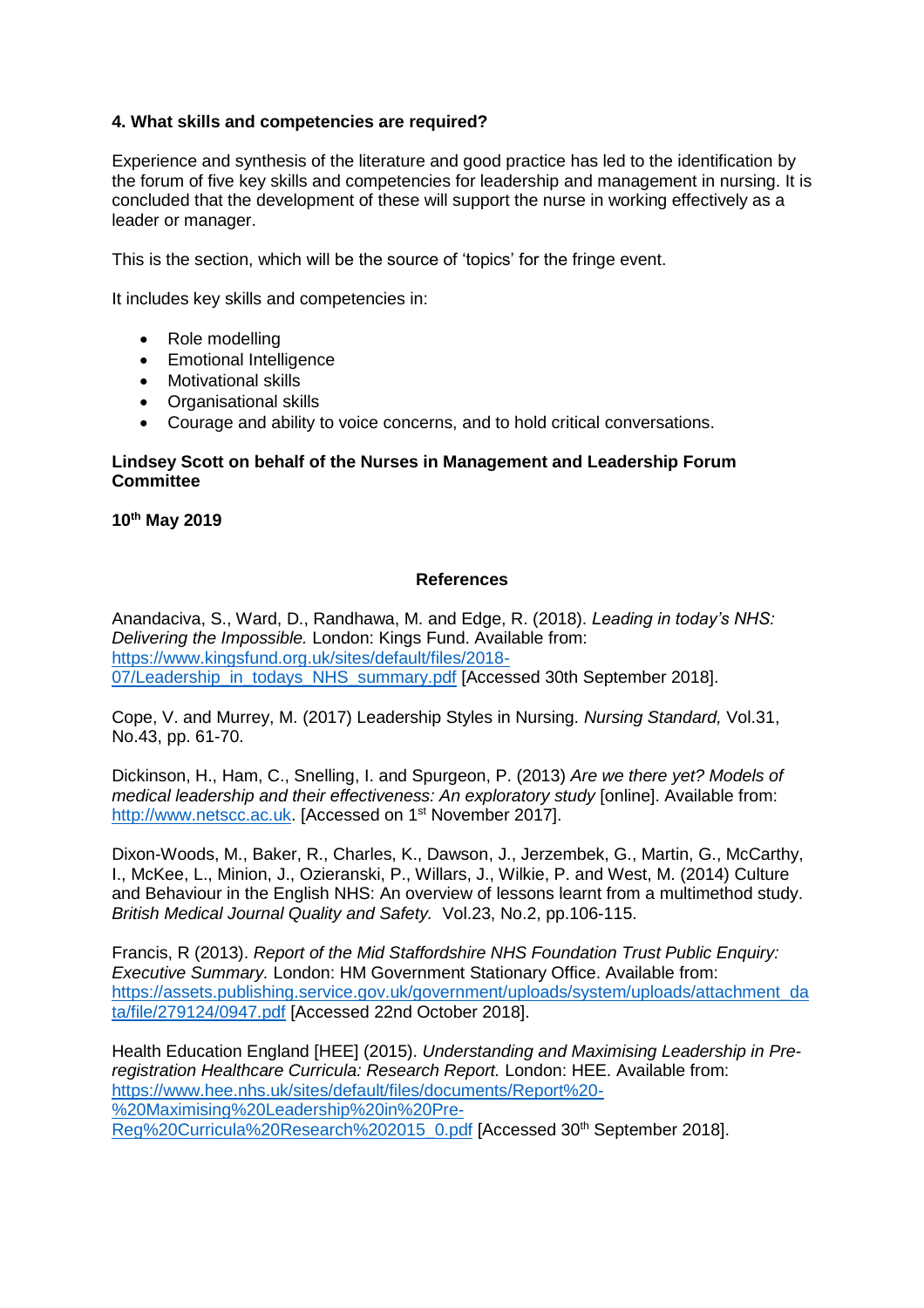# **4. What skills and competencies are required?**

Experience and synthesis of the literature and good practice has led to the identification by the forum of five key skills and competencies for leadership and management in nursing. It is concluded that the development of these will support the nurse in working effectively as a leader or manager.

This is the section, which will be the source of 'topics' for the fringe event.

It includes key skills and competencies in:

- Role modelling
- Emotional Intelligence
- Motivational skills
- Organisational skills
- Courage and ability to voice concerns, and to hold critical conversations.

#### **Lindsey Scott on behalf of the Nurses in Management and Leadership Forum Committee**

**10th May 2019**

#### **References**

Anandaciva, S., Ward, D., Randhawa, M. and Edge, R. (2018). *Leading in today's NHS: Delivering the Impossible.* London: Kings Fund. Available from: [https://www.kingsfund.org.uk/sites/default/files/2018-](https://www.kingsfund.org.uk/sites/default/files/2018-07/Leadership_in_todays_NHS_summary.pdf) [07/Leadership\\_in\\_todays\\_NHS\\_summary.pdf](https://www.kingsfund.org.uk/sites/default/files/2018-07/Leadership_in_todays_NHS_summary.pdf) [Accessed 30th September 2018].

Cope, V. and Murrey, M. (2017) Leadership Styles in Nursing. *Nursing Standard,* Vol.31, No.43, pp. 61-70.

Dickinson, H., Ham, C., Snelling, I. and Spurgeon, P. (2013) *Are we there yet? Models of medical leadership and their effectiveness: An exploratory study* [online]. Available from: [http://www.netscc.ac.uk.](http://www.netscc.ac.uk/) [Accessed on 1<sup>st</sup> November 2017].

Dixon-Woods, M., Baker, R., Charles, K., Dawson, J., Jerzembek, G., Martin, G., McCarthy, I., McKee, L., Minion, J., Ozieranski, P., Willars, J., Wilkie, P. and West, M. (2014) Culture and Behaviour in the English NHS: An overview of lessons learnt from a multimethod study. *British Medical Journal Quality and Safety.* Vol.23, No.2, pp.106-115.

Francis, R (2013). *Report of the Mid Staffordshire NHS Foundation Trust Public Enquiry: Executive Summary.* London: HM Government Stationary Office. Available from: [https://assets.publishing.service.gov.uk/government/uploads/system/uploads/attachment\\_da](https://assets.publishing.service.gov.uk/government/uploads/system/uploads/attachment_data/file/279124/0947.pdf) [ta/file/279124/0947.pdf](https://assets.publishing.service.gov.uk/government/uploads/system/uploads/attachment_data/file/279124/0947.pdf) [Accessed 22nd October 2018].

Health Education England [HEE] (2015). *Understanding and Maximising Leadership in Preregistration Healthcare Curricula: Research Report.* London: HEE. Available from: [https://www.hee.nhs.uk/sites/default/files/documents/Report%20-](https://www.hee.nhs.uk/sites/default/files/documents/Report%20-%20Maximising%20Leadership%20in%20Pre-Reg%20Curricula%20Research%202015_0.pdf) [%20Maximising%20Leadership%20in%20Pre-](https://www.hee.nhs.uk/sites/default/files/documents/Report%20-%20Maximising%20Leadership%20in%20Pre-Reg%20Curricula%20Research%202015_0.pdf)[Reg%20Curricula%20Research%202015\\_0.pdf](https://www.hee.nhs.uk/sites/default/files/documents/Report%20-%20Maximising%20Leadership%20in%20Pre-Reg%20Curricula%20Research%202015_0.pdf) [Accessed 30<sup>th</sup> September 2018].